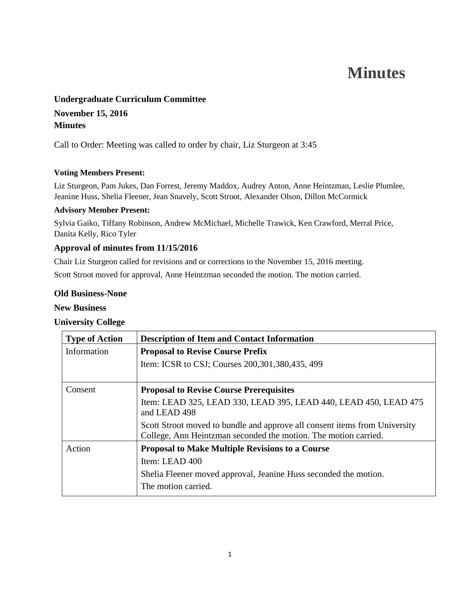# **Minutes**

# **Undergraduate Curriculum Committee November 15, 2016 Minutes**

Call to Order: Meeting was called to order by chair, Liz Sturgeon at 3:45

#### **Voting Members Present:**

Liz Sturgeon, Pam Jukes, Dan Forrest, Jeremy Maddox, Audrey Anton, Anne Heintzman, Leslie Plumlee, Jeanine Huss, Shelia Fleener, Jean Snavely, Scott Stroot, Alexander Olson, Dillon McCormick

#### **Advisory Member Present:**

Sylvia Gaiko, Tiffany Robinson, Andrew McMichael, Michelle Trawick, Ken Crawford, Merral Price, Danita Kelly, Rico Tyler

### **Approval of minutes from 11/15/2016**

Chair Liz Sturgeon called for revisions and or corrections to the November 15, 2016 meeting. Scott Stroot moved for approval, Anne Heintzman seconded the motion. The motion carried.

#### **Old Business-None**

#### **New Business**

#### **University College**

| <b>Type of Action</b> | <b>Description of Item and Contact Information</b>                                                                                            |
|-----------------------|-----------------------------------------------------------------------------------------------------------------------------------------------|
| Information           | <b>Proposal to Revise Course Prefix</b>                                                                                                       |
|                       | Item: ICSR to CSJ; Courses 200, 301, 380, 435, 499                                                                                            |
| Consent               | <b>Proposal to Revise Course Prerequisites</b>                                                                                                |
|                       | Item: LEAD 325, LEAD 330, LEAD 395, LEAD 440, LEAD 450, LEAD 475<br>and LEAD 498                                                              |
|                       | Scott Stroot moved to bundle and approve all consent items from University<br>College, Ann Heintzman seconded the motion. The motion carried. |
| Action                | <b>Proposal to Make Multiple Revisions to a Course</b>                                                                                        |
|                       | Item: LEAD 400                                                                                                                                |
|                       | Shelia Fleener moved approval, Jeanine Huss seconded the motion.                                                                              |
|                       | The motion carried.                                                                                                                           |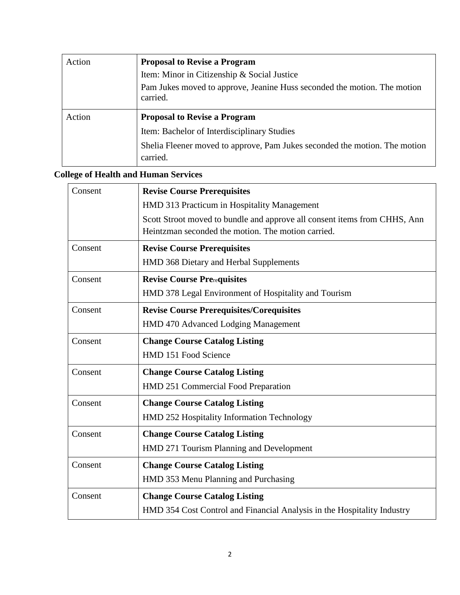| Action | <b>Proposal to Revise a Program</b>                                                  |
|--------|--------------------------------------------------------------------------------------|
|        | Item: Minor in Citizenship & Social Justice                                          |
|        | Pam Jukes moved to approve, Jeanine Huss seconded the motion. The motion<br>carried. |
|        |                                                                                      |
| Action | <b>Proposal to Revise a Program</b>                                                  |
|        | Item: Bachelor of Interdisciplinary Studies                                          |

## **College of Health and Human Services**

| Consent | <b>Revise Course Prerequisites</b>                                        |
|---------|---------------------------------------------------------------------------|
|         | HMD 313 Practicum in Hospitality Management                               |
|         | Scott Stroot moved to bundle and approve all consent items from CHHS, Ann |
|         | Heintzman seconded the motion. The motion carried.                        |
| Consent | <b>Revise Course Prerequisites</b>                                        |
|         | HMD 368 Dietary and Herbal Supplements                                    |
| Consent | <b>Revise Course Prerequisites</b>                                        |
|         | HMD 378 Legal Environment of Hospitality and Tourism                      |
| Consent | <b>Revise Course Prerequisites/Corequisites</b>                           |
|         | HMD 470 Advanced Lodging Management                                       |
| Consent | <b>Change Course Catalog Listing</b>                                      |
|         | HMD 151 Food Science                                                      |
| Consent | <b>Change Course Catalog Listing</b>                                      |
|         | HMD 251 Commercial Food Preparation                                       |
| Consent | <b>Change Course Catalog Listing</b>                                      |
|         | HMD 252 Hospitality Information Technology                                |
| Consent | <b>Change Course Catalog Listing</b>                                      |
|         | HMD 271 Tourism Planning and Development                                  |
| Consent | <b>Change Course Catalog Listing</b>                                      |
|         | HMD 353 Menu Planning and Purchasing                                      |
| Consent | <b>Change Course Catalog Listing</b>                                      |
|         | HMD 354 Cost Control and Financial Analysis in the Hospitality Industry   |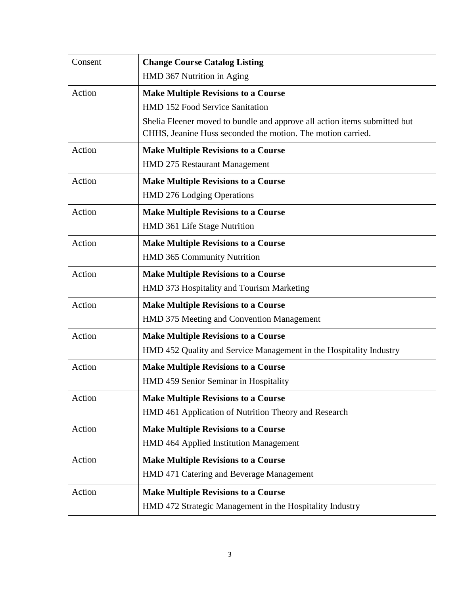| Consent | <b>Change Course Catalog Listing</b>                                      |
|---------|---------------------------------------------------------------------------|
|         | HMD 367 Nutrition in Aging                                                |
| Action  | <b>Make Multiple Revisions to a Course</b>                                |
|         | HMD 152 Food Service Sanitation                                           |
|         | Shelia Fleener moved to bundle and approve all action items submitted but |
|         | CHHS, Jeanine Huss seconded the motion. The motion carried.               |
| Action  | <b>Make Multiple Revisions to a Course</b>                                |
|         | HMD 275 Restaurant Management                                             |
| Action  | <b>Make Multiple Revisions to a Course</b>                                |
|         | <b>HMD 276 Lodging Operations</b>                                         |
| Action  | <b>Make Multiple Revisions to a Course</b>                                |
|         | HMD 361 Life Stage Nutrition                                              |
| Action  | <b>Make Multiple Revisions to a Course</b>                                |
|         | HMD 365 Community Nutrition                                               |
| Action  | <b>Make Multiple Revisions to a Course</b>                                |
|         | HMD 373 Hospitality and Tourism Marketing                                 |
| Action  | <b>Make Multiple Revisions to a Course</b>                                |
|         | HMD 375 Meeting and Convention Management                                 |
| Action  | <b>Make Multiple Revisions to a Course</b>                                |
|         | HMD 452 Quality and Service Management in the Hospitality Industry        |
| Action  | <b>Make Multiple Revisions to a Course</b>                                |
|         | HMD 459 Senior Seminar in Hospitality                                     |
| Action  | <b>Make Multiple Revisions to a Course</b>                                |
|         | HMD 461 Application of Nutrition Theory and Research                      |
| Action  | <b>Make Multiple Revisions to a Course</b>                                |
|         | HMD 464 Applied Institution Management                                    |
| Action  | <b>Make Multiple Revisions to a Course</b>                                |
|         | HMD 471 Catering and Beverage Management                                  |
| Action  | <b>Make Multiple Revisions to a Course</b>                                |
|         | HMD 472 Strategic Management in the Hospitality Industry                  |